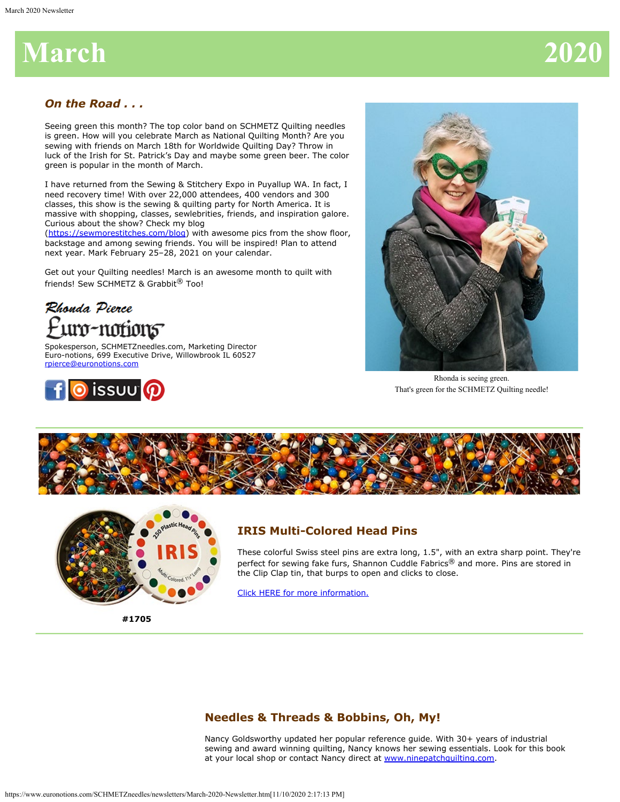# **March 202**

### *On the Road . . .*

Seeing green this month? The top color band on SCHMETZ Quilting needles is green. How will you celebrate March as National Quilting Month? Are you sewing with friends on March 18th for Worldwide Quilting Day? Throw in luck of the Irish for St. Patrick's Day and maybe some green beer. The color green is popular in the month of March.

I have returned from the Sewing & Stitchery Expo in Puyallup WA. In fact, I need recovery time! With over 22,000 attendees, 400 vendors and 300 classes, this show is the sewing & quilting party for North America. It is massive with shopping, classes, sewlebrities, friends, and inspiration galore. Curious about the show? Check my blog

[\(https://sewmorestitches.com/blog](https://sewmorestitches.com/blog)) with awesome pics from the show floor, backstage and among sewing friends. You will be inspired! Plan to attend next year. Mark February 25–28, 2021 on your calendar.

Get out your Quilting needles! March is an awesome month to quilt with friends! Sew SCHMETZ & Grabbit<sup>®</sup> Too!

## Rhonda Pierce uro-notions<sup>-</sup>

Spokesperson, SCHMETZneedles.com, Marketing Director Euro-notions, 699 Executive Drive, Willowbrook IL 60527 [rpierce@euronotions.com](mailto:rpierce@euronotions.com)





Rhonda is seeing green. That's green for the SCHMETZ Quilting needle!





**IRIS Multi-Colored Head Pins**

These colorful Swiss steel pins are extra long, 1.5", with an extra sharp point. They're perfect for sewing fake furs, Shannon Cuddle Fabrics® and more. Pins are stored in the Clip Clap tin, that burps to open and clicks to close.

[Click HERE for more information.](https://www.schmetzneedles.com/item/IRISreg-Multi-Colored-Head-Pins-100199)

### **Needles & Threads & Bobbins, Oh, My!**

Nancy Goldsworthy updated her popular reference guide. With 30+ years of industrial sewing and award winning quilting, Nancy knows her sewing essentials. Look for this book at your local shop or contact Nancy direct at [www.ninepatchquilting.com](http://www.ninepatchquilting.com/).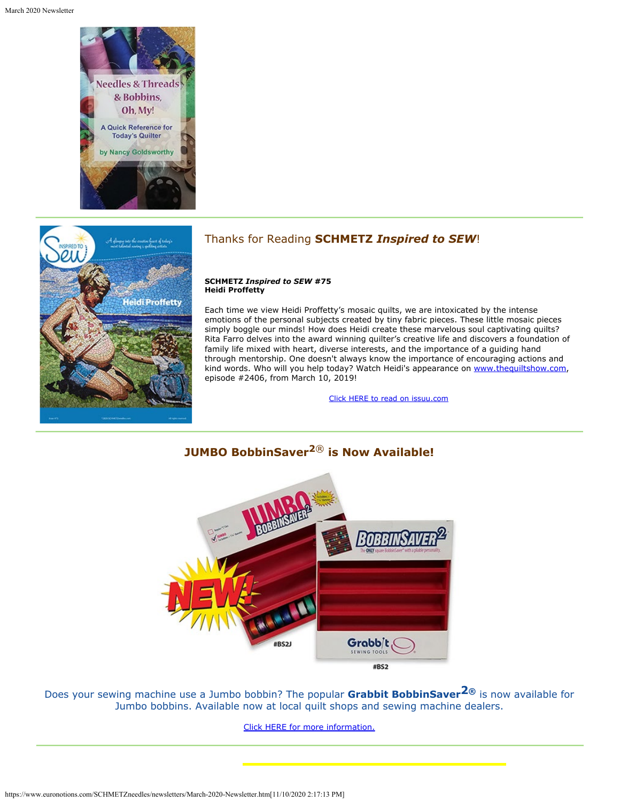



#### Thanks for Reading **SCHMETZ** *Inspired to SEW*!

#### **SCHMETZ** *Inspired to SEW* **#75 Heidi Proffetty**

Each time we view Heidi Proffetty's mosaic quilts, we are intoxicated by the intense emotions of the personal subjects created by tiny fabric pieces. These little mosaic pieces simply boggle our minds! How does Heidi create these marvelous soul captivating quilts? Rita Farro delves into the award winning quilter's creative life and discovers a foundation of family life mixed with heart, diverse interests, and the importance of a guiding hand through mentorship. One doesn't always know the importance of encouraging actions and kind words. Who will you help today? Watch Heidi's appearance on [www.thequiltshow.com](http://www.thequiltshow.com/), episode #2406, from March 10, 2019!

[Click HERE to read on issuu.com](https://issuu.com/schmetzneedles/docs/its75-mar20?fr=sNjQ0ZTE3NTM3)



**JUMBO BobbinSaver2**® **is Now Available!**

Does your sewing machine use a Jumbo bobbin? The popular **Grabbit BobbinSaver2®** is now available for Jumbo bobbins. Available now at local quilt shops and sewing machine dealers.

[Click HERE for more information.](https://www.schmetzneedles.com/category/Grabbit®-Sewing-Tools-31)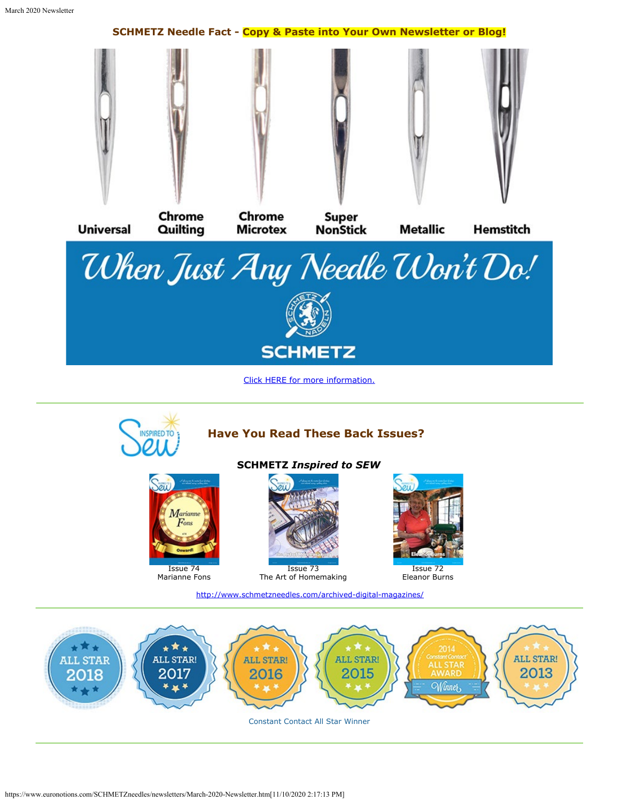



Constant Contact All Star Winner